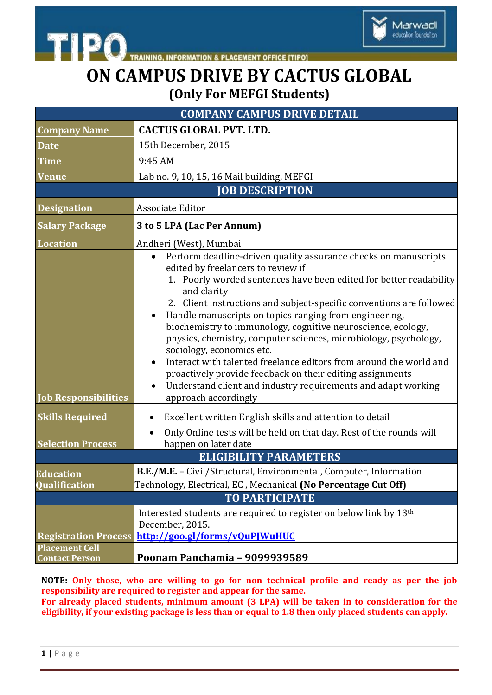

**INFORMATION & PLACEMENT OFFICE [TIPO]** 

## **ON CAMPUS DRIVE BY CACTUS GLOBAL (Only For MEFGI Students)**

|                                                | <b>COMPANY CAMPUS DRIVE DETAIL</b>                                                                                                                                                                                                                                                                                                                                                                                                                                                                                                                                                                                                                                                                                                                  |
|------------------------------------------------|-----------------------------------------------------------------------------------------------------------------------------------------------------------------------------------------------------------------------------------------------------------------------------------------------------------------------------------------------------------------------------------------------------------------------------------------------------------------------------------------------------------------------------------------------------------------------------------------------------------------------------------------------------------------------------------------------------------------------------------------------------|
| <b>Company Name</b>                            | <b>CACTUS GLOBAL PVT. LTD.</b>                                                                                                                                                                                                                                                                                                                                                                                                                                                                                                                                                                                                                                                                                                                      |
| <b>Date</b>                                    | 15th December, 2015                                                                                                                                                                                                                                                                                                                                                                                                                                                                                                                                                                                                                                                                                                                                 |
| <b>Time</b>                                    | 9:45 AM                                                                                                                                                                                                                                                                                                                                                                                                                                                                                                                                                                                                                                                                                                                                             |
| <b>Venue</b>                                   | Lab no. 9, 10, 15, 16 Mail building, MEFGI                                                                                                                                                                                                                                                                                                                                                                                                                                                                                                                                                                                                                                                                                                          |
|                                                | <b>JOB DESCRIPTION</b>                                                                                                                                                                                                                                                                                                                                                                                                                                                                                                                                                                                                                                                                                                                              |
| <b>Designation</b>                             | Associate Editor                                                                                                                                                                                                                                                                                                                                                                                                                                                                                                                                                                                                                                                                                                                                    |
| <b>Salary Package</b>                          | 3 to 5 LPA (Lac Per Annum)                                                                                                                                                                                                                                                                                                                                                                                                                                                                                                                                                                                                                                                                                                                          |
| <b>Location</b>                                | Andheri (West), Mumbai                                                                                                                                                                                                                                                                                                                                                                                                                                                                                                                                                                                                                                                                                                                              |
| <b>Job Responsibilities</b>                    | Perform deadline-driven quality assurance checks on manuscripts<br>$\bullet$<br>edited by freelancers to review if<br>1. Poorly worded sentences have been edited for better readability<br>and clarity<br>2. Client instructions and subject-specific conventions are followed<br>Handle manuscripts on topics ranging from engineering,<br>biochemistry to immunology, cognitive neuroscience, ecology,<br>physics, chemistry, computer sciences, microbiology, psychology,<br>sociology, economics etc.<br>Interact with talented freelance editors from around the world and<br>$\bullet$<br>proactively provide feedback on their editing assignments<br>Understand client and industry requirements and adapt working<br>approach accordingly |
| <b>Skills Required</b>                         | Excellent written English skills and attention to detail<br>$\bullet$                                                                                                                                                                                                                                                                                                                                                                                                                                                                                                                                                                                                                                                                               |
| <b>Selection Process</b>                       | Only Online tests will be held on that day. Rest of the rounds will<br>$\bullet$<br>happen on later date<br><b>ELIGIBILITY PARAMETERS</b>                                                                                                                                                                                                                                                                                                                                                                                                                                                                                                                                                                                                           |
| <b>Education</b><br><b>Qualification</b>       | B.E./M.E. - Civil/Structural, Environmental, Computer, Information<br>Technology, Electrical, EC, Mechanical (No Percentage Cut Off)                                                                                                                                                                                                                                                                                                                                                                                                                                                                                                                                                                                                                |
|                                                | <b>TO PARTICIPATE</b>                                                                                                                                                                                                                                                                                                                                                                                                                                                                                                                                                                                                                                                                                                                               |
| <b>Registration Process</b>                    | Interested students are required to register on below link by 13 <sup>th</sup><br>December, 2015.<br>http://goo.gl/forms/vOuPIWuHUC                                                                                                                                                                                                                                                                                                                                                                                                                                                                                                                                                                                                                 |
| <b>Placement Cell</b><br><b>Contact Person</b> | Poonam Panchamia - 9099939589                                                                                                                                                                                                                                                                                                                                                                                                                                                                                                                                                                                                                                                                                                                       |

**NOTE: Only those, who are willing to go for non technical profile and ready as per the job responsibility are required to register and appear for the same.**

**For already placed students, minimum amount (3 LPA) will be taken in to consideration for the eligibility, if your existing package is less than or equal to 1.8 then only placed students can apply.**

**TIPO**